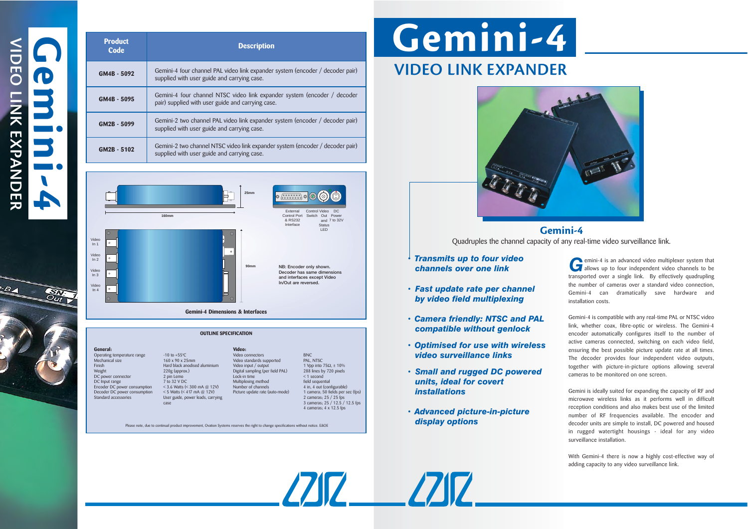**General: Video:** Operating temperature range  $-10$  to +55<sup>o</sup>C<br>Mechanical size  $160 \times 90 \times 25$ mm Mechanical size 160 x 90 x 25mm Video standards supported<br>
Hard black anodised aluminium Video input / output Finish Hard black anodised aluminium Video input / output 1 Vpp into 75Ω, ± 10%<br>Weight 220g (approx.) Digital sampling (per field PAL) 288 lines by 720 pixels DC power connector 2 pin Lemo Lock-in time < 1 second<br>DC lnout range 7 to 32 V DC Multiolexing method field sequence DC Input range 7 to 32 V DC Multiplexing method field sequential<br>
Encoder DC power consumption < 3.6 Watts (< 300 mA @ 12V) Number of channels 4 in, 4 out (configurable) Decoder DC power consumption  $\leq$  5 Watts  $\leq$  417 mA @ 12V) Picture update rate (auto-mode) Standard accessories User guide, power leads, carrying

## Video connectors BNC<br>Video standards supported PAL. NTSC Digital sampling (per field PAL)  $-3.6$  Watts ( $\le$  300 mA  $@$  12V) Number of channels 4 in, 4 out (configurable)<br> $-5$  Watts ( $\le$  417 mA  $@$  12V) Picture update rate (auto-mode) 1 camera; 50 fields per sec (fps)

User guide, power leads, carrying<br>
assex 3 cameras; 25 / 25 fps<br>
3 cameras; 25 / 25 fps<br>
3 cameras; 25 / 12.5 / 12.5 fps 4 cameras; 4 x 12.5 fps

 $Z\mathbb{Z}$   $Z\mathbb{Z}$ 

Please note, due to continual product improvement, Ovation Systems reserves the right to change specifications without notice. E&OE

| <b>Product</b><br><b>Code</b>                                                                               | <b>Description</b>                                                                                                                                                                      |
|-------------------------------------------------------------------------------------------------------------|-----------------------------------------------------------------------------------------------------------------------------------------------------------------------------------------|
| GM4B - 5092                                                                                                 | Gemini-4 four channel PAL video link expander system (encoder / decoder pair)<br>supplied with user guide and carrying case.                                                            |
| GM4B - 5095                                                                                                 | Gemini-4 four channel NTSC video link expander system (encoder / decoder<br>pair) supplied with user guide and carrying case.                                                           |
| GM2B - 5099                                                                                                 | Gemini-2 two channel PAL video link expander system (encoder / decoder pair)<br>supplied with user guide and carrying case.                                                             |
| GM2B - 5102                                                                                                 | Gemini-2 two channel NTSC video link expander system (encoder / decoder pair)<br>supplied with user guide and carrying case.                                                            |
|                                                                                                             |                                                                                                                                                                                         |
|                                                                                                             | 25 <sub>mm</sub><br><b>Control Video</b><br>External<br>D <sub>C</sub><br>Control Port Switch Out Power<br><b>160mm</b><br>& RS232<br>and 7 to 32V<br>Interface<br><b>Status</b><br>LED |
| ∩<br>Video<br>$\circ$<br>In <sub>1</sub><br>Video<br>$\circ$<br>ln 2<br>Video<br>$\circ$<br>In <sub>3</sub> | $\circ$<br>90 <sub>mm</sub><br>NB: Encoder only shown.<br>Decoder has same dimensions<br>and interfaces except Video                                                                    |

**Gemini-4 Dimensions & Interfaces**

**OUTLINE SPECIFICATION**

emini-4 is an advanced video multiplexer system that **C** emini-4 is an advanced video multiplexer system that<br>allows up to four independent video channels to be transported over a single link. By effectively quadrupling the number of cameras over a standard video connection, Gemini-4 can dramatically save hardware and installation costs.

**In/Out are reversed.**

| Ū             |  |
|---------------|--|
| ZNA<br>EXPANI |  |
|               |  |

-84

Video In 4

 $\circ$ 

Gemini-4 is compatible with any real-time PAL or NTSC video link, whether coax, fibre-optic or wireless. The Gemini-4 encoder automatically configures itself to the number of active cameras connected, switching on each video field, ensuring the best possible picture update rate at all times. The decoder provides four independent video outputs, together with picture-in-picture options allowing several cameras to be monitored on one screen.

Gemini is ideally suited for expanding the capacity of RF and microwave wireless links as it performs well in difficult reception conditions and also makes best use of the limited number of RF frequencies available. The encoder and decoder units are simple to install, DC powered and housed in rugged watertight housings - ideal for any video surveillance installation.

With Gemini-4 there is now a highly cost-effective way of adding capacity to any video surveillance link.

- **Gemini-4**
- **.** *Transmits up to four video channels over one link*
- **.** *Fast update rate per channel by video field multiplexing*
- **.** *Camera friendly: NTSC and PAL compatible without genlock*
- **.** *Optimised for use with wireless video surveillance links*
- **.** *Small and rugged DC powered units, ideal for covert installations*
- **.** *Advanced picture-in-picture display options*



# **Gemini-4 VIDEO LINK EXPANDER**

Quadruples the channel capacity of any real-time video surveillance link.